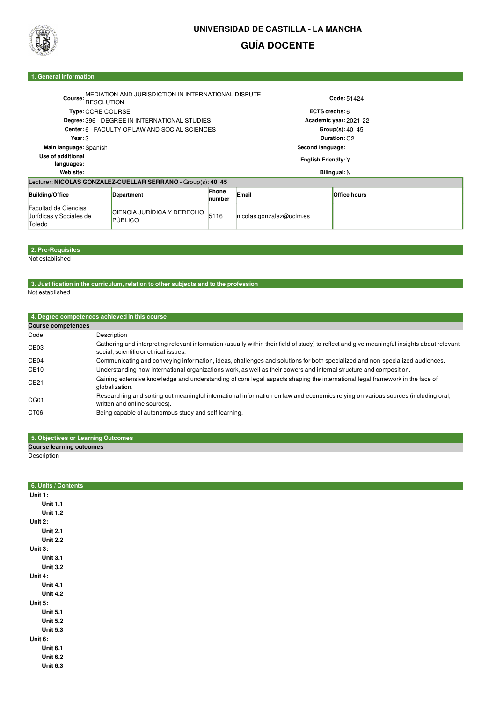

# **UNIVERSIDAD DE CASTILLA - LA MANCHA GUÍA DOCENTE**

#### **1. General information**

| Course:<br><b>RESOLUTION</b>                                     | MEDIATION AND JURISDICTION IN INTERNATIONAL DISPUTE          |                 |                            | Code: 51424              |  |  |
|------------------------------------------------------------------|--------------------------------------------------------------|-----------------|----------------------------|--------------------------|--|--|
| Type: CORE COURSE                                                |                                                              |                 | ECTS credits: 6            |                          |  |  |
| Degree: 396 - DEGREE IN INTERNATIONAL STUDIES                    |                                                              |                 | Academic year: 2021-22     |                          |  |  |
|                                                                  | Center: 6 - FACULTY OF LAW AND SOCIAL SCIENCES               |                 |                            | Group(s): 40, 45         |  |  |
| Year: 3                                                          |                                                              |                 |                            | Duration: C <sub>2</sub> |  |  |
| Main language: Spanish                                           |                                                              |                 | Second language:           |                          |  |  |
| Use of additional<br>languages:                                  |                                                              |                 | <b>English Friendly: Y</b> |                          |  |  |
| Web site:                                                        |                                                              |                 | Bilingual: N               |                          |  |  |
|                                                                  | Lecturer: NICOLAS GONZALEZ-CUELLAR SERRANO - Group(s): 40 45 |                 |                            |                          |  |  |
| <b>Building/Office</b>                                           | Department                                                   | Phone<br>number | Email                      | <b>Office hours</b>      |  |  |
| <b>Facultad de Ciencias</b><br>Jurídicas y Sociales de<br>Toledo | CIENCIA JURÍDICA Y DERECHO<br><b>PÚBLICO</b>                 | 5116            | nicolas.gonzalez@uclm.es   |                          |  |  |

## **2. Pre-Requisites**

Not established

# **3. Justification in the curriculum, relation to other subjects and to the profession**

| Not established |  |
|-----------------|--|
|                 |  |

|                           | 4. Degree competences achieved in this course                                                                                                                                         |
|---------------------------|---------------------------------------------------------------------------------------------------------------------------------------------------------------------------------------|
| <b>Course competences</b> |                                                                                                                                                                                       |
| Code                      | Description                                                                                                                                                                           |
| CB <sub>03</sub>          | Gathering and interpreting relevant information (usually within their field of study) to reflect and give meaningful insights about relevant<br>social, scientific or ethical issues. |
| CB <sub>04</sub>          | Communicating and conveying information, ideas, challenges and solutions for both specialized and non-specialized audiences.                                                          |
| CE10                      | Understanding how international organizations work, as well as their powers and internal structure and composition.                                                                   |
| CE21                      | Gaining extensive knowledge and understanding of core legal aspects shaping the international legal framework in the face of<br>globalization.                                        |
| CG <sub>01</sub>          | Researching and sorting out meaningful international information on law and economics relying on various sources (including oral,<br>written and online sources).                     |
| CT <sub>06</sub>          | Being capable of autonomous study and self-learning.                                                                                                                                  |

### **5. Objectives or Learning Outcomes Course learning outcomes**

Description

| 6. Units / Contents |  |  |  |
|---------------------|--|--|--|
| Unit $1:$           |  |  |  |
| <b>Unit 1.1</b>     |  |  |  |
| <b>Unit 1.2</b>     |  |  |  |
| Unit 2:             |  |  |  |
| <b>Unit 2.1</b>     |  |  |  |
| <b>Unit 2.2</b>     |  |  |  |
| Unit 3:             |  |  |  |
| <b>Unit 3.1</b>     |  |  |  |
| <b>Unit 3.2</b>     |  |  |  |
| Unit 4:             |  |  |  |
| <b>Unit 4.1</b>     |  |  |  |
| <b>Unit 4.2</b>     |  |  |  |
| Unit 5:             |  |  |  |
| <b>Unit 5.1</b>     |  |  |  |
| <b>Unit 5.2</b>     |  |  |  |
| <b>Unit 5.3</b>     |  |  |  |
| Unit 6:             |  |  |  |
| <b>Unit 6.1</b>     |  |  |  |
| <b>Unit 6.2</b>     |  |  |  |
| <b>Unit 6.3</b>     |  |  |  |
|                     |  |  |  |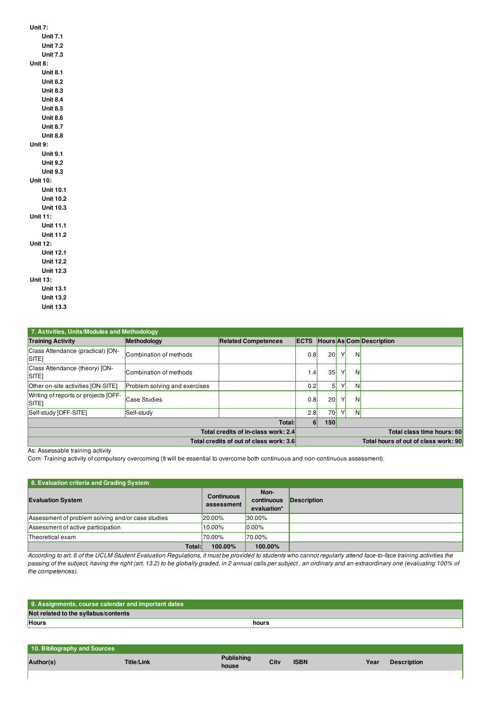| Unit 7:          |
|------------------|
| <b>Unit 7.1</b>  |
| <b>Unit 7.2</b>  |
| <b>Unit 7.3</b>  |
| Unit 8:          |
| <b>Unit 8.1</b>  |
| Unit 8.2         |
| Unit 8.3         |
| Unit 8.4         |
| <b>Unit 8.5</b>  |
| <b>Unit 8.6</b>  |
| <b>Unit 8.7</b>  |
| <b>Unit 8.8</b>  |
| Unit 9:          |
| <b>Unit 9.1</b>  |
| <b>Unit 9.2</b>  |
| <b>Unit 9.3</b>  |
| Unit 10:         |
| <b>Unit 10.1</b> |
| <b>Unit 10.2</b> |
| <b>Unit 10.3</b> |
| Unit 11:         |
| Unit 11.1        |
| <b>Unit 11.2</b> |
| Unit 12:         |
| <b>Unit 12.1</b> |
| <b>Unit 12.2</b> |
| <b>Unit 12.3</b> |
| Unit 13:         |
| <b>Unit 13.1</b> |
| <b>Unit 13.2</b> |
| Unit 13.3        |

| 7. Activities, Units/Modules and Methodology           |                               |                            |             |                       |   |   |                                      |
|--------------------------------------------------------|-------------------------------|----------------------------|-------------|-----------------------|---|---|--------------------------------------|
| <b>Training Activity</b>                               | Methodology                   | <b>Related Competences</b> | <b>ECTS</b> |                       |   |   | Hours As Com Description             |
| Class Attendance (practical) [ON-<br>SITE <sub>I</sub> | Combination of methods        |                            | 0.8         | 20 <sup>1</sup>       | Υ | N |                                      |
| Class Attendance (theory) [ON-<br><b>SITE</b>          | Combination of methods        |                            | 1.4         | 35                    | ٧ | N |                                      |
| Other on-site activities [ON-SITE]                     | Problem solving and exercises |                            | 0.2         | 5 <sup>1</sup>        | Υ | N |                                      |
| Writing of reports or projects [OFF-<br><b>SITE</b>    | Case Studies                  |                            | 0.8         | 20 <sub>l</sub>       | Υ | N |                                      |
| Self-study [OFF-SITE]                                  | Self-study                    |                            | 2.8         | 70                    | Υ | N |                                      |
| Total:                                                 |                               |                            |             | 6 <sup>1</sup><br>150 |   |   |                                      |
| Total credits of in-class work: 2.4                    |                               |                            |             |                       |   |   | Total class time hours: 60           |
| Total credits of out of class work: 3.6                |                               |                            |             |                       |   |   | Total hours of out of class work: 90 |

As: Assessable training activity

Com: Training activity of compulsory overcoming (It will be essential to overcome both continuous and non-continuous assessment).

| 8. Evaluation criteria and Grading System         |                                 |                                   |             |  |  |  |  |
|---------------------------------------------------|---------------------------------|-----------------------------------|-------------|--|--|--|--|
| <b>Evaluation System</b>                          | <b>Continuous</b><br>assessment | Non-<br>continuous<br>evaluation* | Description |  |  |  |  |
| Assessment of problem solving and/or case studies | <b>20.00%</b>                   | 30.00%                            |             |  |  |  |  |
| Assessment of active participation                | 10.00%                          | $10.00\%$                         |             |  |  |  |  |
| Theoretical exam                                  | 70.00%                          | 70.00%                            |             |  |  |  |  |
| Total:                                            | 100.00%                         | 100.00%                           |             |  |  |  |  |

According to art. 6 of the UCLM Student Evaluation Regulations, it must be provided to students who cannot regularly attend face-to-face training activities the passing of the subject, having the right (art. 13.2) to be globally graded, in 2 annual calls per subject , an ordinary and an extraordinary one (evaluating 100% of *the competences).*

| 9. Assignments, course calendar and important dates |       |
|-----------------------------------------------------|-------|
| Not related to the syllabus/contents                |       |
| <b>Hours</b>                                        | hours |
|                                                     |       |
|                                                     |       |
| 10. Bibliography and Sources                        |       |

| <b>10. Bibliography and Sources</b><br>Author(s) | Title/Link | <b>Publishing</b><br>house | City | <b>ISBN</b> | Year | <b>Description</b> |
|--------------------------------------------------|------------|----------------------------|------|-------------|------|--------------------|
|                                                  |            |                            |      |             |      |                    |